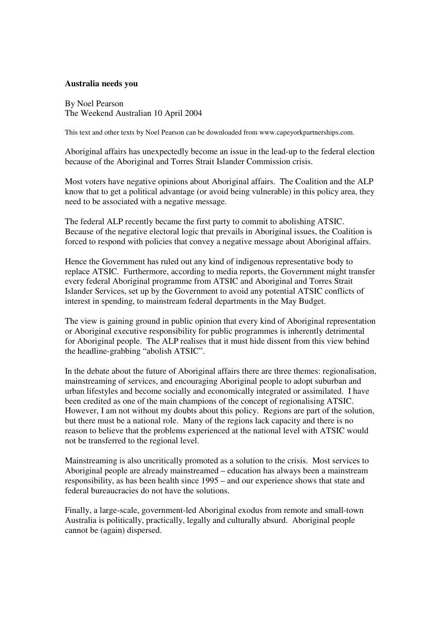## **Australia needs you**

By Noel Pearson The Weekend Australian 10 April 2004

This text and other texts by Noel Pearson can be downloaded from www.capeyorkpartnerships.com.

Aboriginal affairs has unexpectedly become an issue in the lead-up to the federal election because of the Aboriginal and Torres Strait Islander Commission crisis.

Most voters have negative opinions about Aboriginal affairs. The Coalition and the ALP know that to get a political advantage (or avoid being vulnerable) in this policy area, they need to be associated with a negative message.

The federal ALP recently became the first party to commit to abolishing ATSIC. Because of the negative electoral logic that prevails in Aboriginal issues, the Coalition is forced to respond with policies that convey a negative message about Aboriginal affairs.

Hence the Government has ruled out any kind of indigenous representative body to replace ATSIC. Furthermore, according to media reports, the Government might transfer every federal Aboriginal programme from ATSIC and Aboriginal and Torres Strait Islander Services, set up by the Government to avoid any potential ATSIC conflicts of interest in spending, to mainstream federal departments in the May Budget.

The view is gaining ground in public opinion that every kind of Aboriginal representation or Aboriginal executive responsibility for public programmes is inherently detrimental for Aboriginal people. The ALP realises that it must hide dissent from this view behind the headline-grabbing "abolish ATSIC".

In the debate about the future of Aboriginal affairs there are three themes: regionalisation, mainstreaming of services, and encouraging Aboriginal people to adopt suburban and urban lifestyles and become socially and economically integrated or assimilated. I have been credited as one of the main champions of the concept of regionalising ATSIC. However, I am not without my doubts about this policy. Regions are part of the solution, but there must be a national role. Many of the regions lack capacity and there is no reason to believe that the problems experienced at the national level with ATSIC would not be transferred to the regional level.

Mainstreaming is also uncritically promoted as a solution to the crisis. Most services to Aboriginal people are already mainstreamed – education has always been a mainstream responsibility, as has been health since 1995 – and our experience shows that state and federal bureaucracies do not have the solutions.

Finally, a large-scale, government-led Aboriginal exodus from remote and small-town Australia is politically, practically, legally and culturally absurd. Aboriginal people cannot be (again) dispersed.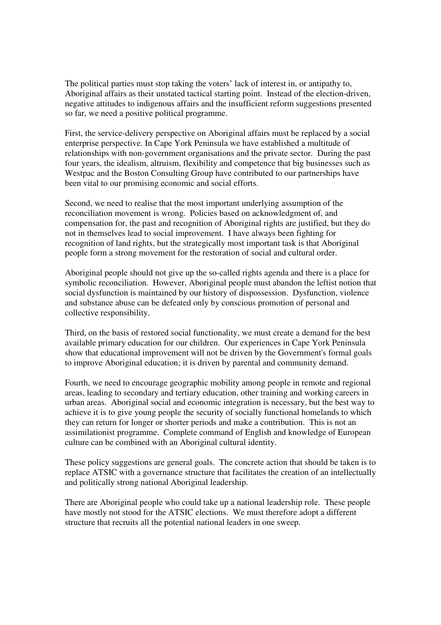The political parties must stop taking the voters' lack of interest in, or antipathy to, Aboriginal affairs as their unstated tactical starting point. Instead of the election-driven, negative attitudes to indigenous affairs and the insufficient reform suggestions presented so far, we need a positive political programme.

First, the service-delivery perspective on Aboriginal affairs must be replaced by a social enterprise perspective. In Cape York Peninsula we have established a multitude of relationships with non-government organisations and the private sector. During the past four years, the idealism, altruism, flexibility and competence that big businesses such as Westpac and the Boston Consulting Group have contributed to our partnerships have been vital to our promising economic and social efforts.

Second, we need to realise that the most important underlying assumption of the reconciliation movement is wrong. Policies based on acknowledgment of, and compensation for, the past and recognition of Aboriginal rights are justified, but they do not in themselves lead to social improvement. I have always been fighting for recognition of land rights, but the strategically most important task is that Aboriginal people form a strong movement for the restoration of social and cultural order.

Aboriginal people should not give up the so-called rights agenda and there is a place for symbolic reconciliation. However, Aboriginal people must abandon the leftist notion that social dysfunction is maintained by our history of dispossession. Dysfunction, violence and substance abuse can be defeated only by conscious promotion of personal and collective responsibility.

Third, on the basis of restored social functionality, we must create a demand for the best available primary education for our children. Our experiences in Cape York Peninsula show that educational improvement will not be driven by the Government's formal goals to improve Aboriginal education; it is driven by parental and community demand.

Fourth, we need to encourage geographic mobility among people in remote and regional areas, leading to secondary and tertiary education, other training and working careers in urban areas. Aboriginal social and economic integration is necessary, but the best way to achieve it is to give young people the security of socially functional homelands to which they can return for longer or shorter periods and make a contribution. This is not an assimilationist programme. Complete command of English and knowledge of European culture can be combined with an Aboriginal cultural identity.

These policy suggestions are general goals. The concrete action that should be taken is to replace ATSIC with a governance structure that facilitates the creation of an intellectually and politically strong national Aboriginal leadership.

There are Aboriginal people who could take up a national leadership role. These people have mostly not stood for the ATSIC elections. We must therefore adopt a different structure that recruits all the potential national leaders in one sweep.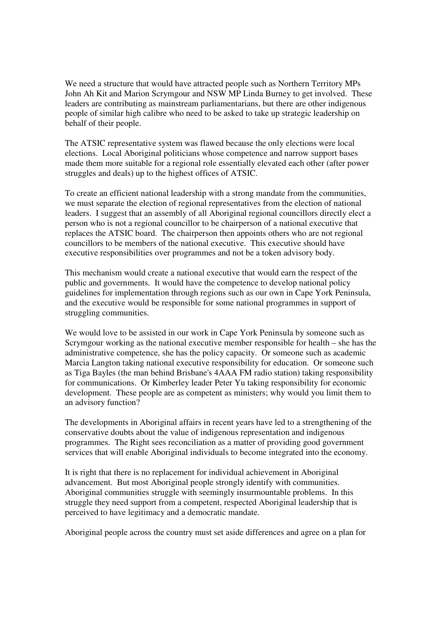We need a structure that would have attracted people such as Northern Territory MPs John Ah Kit and Marion Scrymgour and NSW MP Linda Burney to get involved. These leaders are contributing as mainstream parliamentarians, but there are other indigenous people of similar high calibre who need to be asked to take up strategic leadership on behalf of their people.

The ATSIC representative system was flawed because the only elections were local elections. Local Aboriginal politicians whose competence and narrow support bases made them more suitable for a regional role essentially elevated each other (after power struggles and deals) up to the highest offices of ATSIC.

To create an efficient national leadership with a strong mandate from the communities, we must separate the election of regional representatives from the election of national leaders. I suggest that an assembly of all Aboriginal regional councillors directly elect a person who is not a regional councillor to be chairperson of a national executive that replaces the ATSIC board. The chairperson then appoints others who are not regional councillors to be members of the national executive. This executive should have executive responsibilities over programmes and not be a token advisory body.

This mechanism would create a national executive that would earn the respect of the public and governments. It would have the competence to develop national policy guidelines for implementation through regions such as our own in Cape York Peninsula, and the executive would be responsible for some national programmes in support of struggling communities.

We would love to be assisted in our work in Cape York Peninsula by someone such as Scrymgour working as the national executive member responsible for health – she has the administrative competence, she has the policy capacity. Or someone such as academic Marcia Langton taking national executive responsibility for education. Or someone such as Tiga Bayles (the man behind Brisbane's 4AAA FM radio station) taking responsibility for communications. Or Kimberley leader Peter Yu taking responsibility for economic development. These people are as competent as ministers; why would you limit them to an advisory function?

The developments in Aboriginal affairs in recent years have led to a strengthening of the conservative doubts about the value of indigenous representation and indigenous programmes. The Right sees reconciliation as a matter of providing good government services that will enable Aboriginal individuals to become integrated into the economy.

It is right that there is no replacement for individual achievement in Aboriginal advancement. But most Aboriginal people strongly identify with communities. Aboriginal communities struggle with seemingly insurmountable problems. In this struggle they need support from a competent, respected Aboriginal leadership that is perceived to have legitimacy and a democratic mandate.

Aboriginal people across the country must set aside differences and agree on a plan for